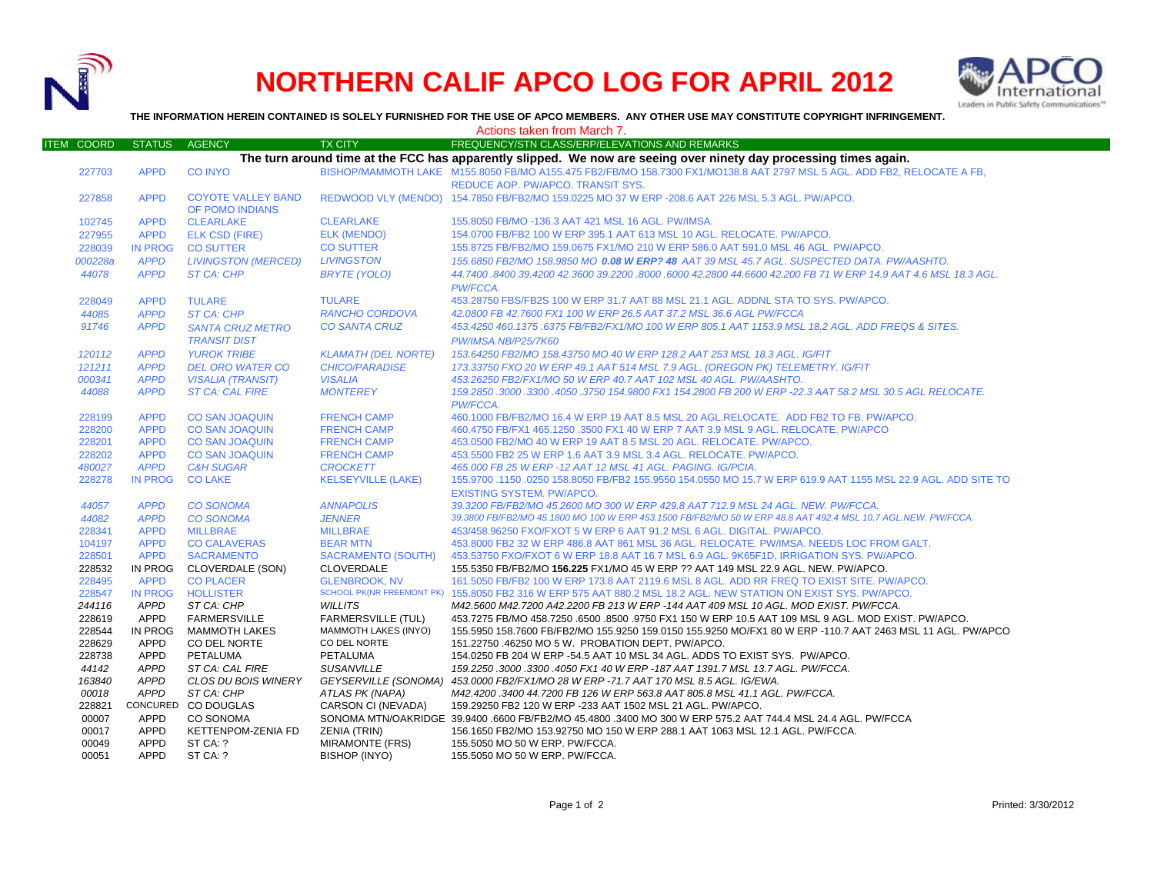

## **NORTHERN CALIF APCO LOG FOR APRIL 2012**



**THE INFORMATION HEREIN CONTAINED IS SOLELY FURNISHED FOR THE USE OF APCO MEMBERS. ANY OTHER USE MAY CONSTITUTE COPYRIGHT INFRINGEMENT.**

|                   | Actions taken from March 7. |                            |                             |                                                                                                                         |  |  |  |
|-------------------|-----------------------------|----------------------------|-----------------------------|-------------------------------------------------------------------------------------------------------------------------|--|--|--|
| <b>ITEM COORD</b> | <b>STATUS</b>               | <b>AGENCY</b>              | <b>TX CITY</b>              | FREQUENCY/STN CLASS/ERP/ELEVATIONS AND REMARKS                                                                          |  |  |  |
|                   |                             |                            |                             | The turn around time at the FCC has apparently slipped. We now are seeing over ninety day processing times again.       |  |  |  |
| 227703            | <b>APPD</b>                 | <b>CO INYO</b>             |                             | BISHOP/MAMMOTH LAKE M155.8050 FB/MO A155.475 FB2/FB/MO 158.7300 FX1/MO138.8 AAT 2797 MSL 5 AGL. ADD FB2, RELOCATE A FB, |  |  |  |
|                   |                             |                            |                             | REDUCE AOP. PW/APCO. TRANSIT SYS.                                                                                       |  |  |  |
| 227858            | <b>APPD</b>                 | <b>COYOTE VALLEY BAND</b>  |                             | REDWOOD VLY (MENDO) 154.7850 FB/FB2/MO 159.0225 MO 37 W ERP -208.6 AAT 226 MSL 5.3 AGL. PW/APCO.                        |  |  |  |
|                   |                             | OF POMO INDIANS            |                             |                                                                                                                         |  |  |  |
| 102745            | <b>APPD</b>                 | <b>CLEARLAKE</b>           | <b>CLEARLAKE</b>            | 155.8050 FB/MO -136.3 AAT 421 MSL 16 AGL. PW/IMSA.                                                                      |  |  |  |
| 227955            | <b>APPD</b>                 | ELK CSD (FIRE)             | ELK (MENDO)                 | 154.0700 FB/FB2 100 W ERP 395.1 AAT 613 MSL 10 AGL. RELOCATE. PW/APCO.                                                  |  |  |  |
| 228039            | <b>IN PROG</b>              | <b>CO SUTTER</b>           | <b>CO SUTTER</b>            | 155.8725 FB/FB2/MO 159.0675 FX1/MO 210 W ERP 586.0 AAT 591.0 MSL 46 AGL. PW/APCO.                                       |  |  |  |
| 000228a           | <b>APPD</b>                 | <b>LIVINGSTON (MERCED)</b> | <b>LIVINGSTON</b>           | 155.6850 FB2/MO 158.9850 MO 0.08 W ERP? 48 AAT 39 MSL 45.7 AGL. SUSPECTED DATA. PW/AASHTO.                              |  |  |  |
| 44078             | <b>APPD</b>                 | ST CA: CHP                 | BRYTE (YOLO)                | 44.7400 .8400 39.4200 42.3600 39.2200 .8000 .6000 42.2800 44.6600 42.200 FB 71 W ERP 14.9 AAT 4.6 MSL 18.3 AGL          |  |  |  |
|                   |                             |                            |                             | PW/FCCA.                                                                                                                |  |  |  |
| 228049            | <b>APPD</b>                 | <b>TULARE</b>              | <b>TULARE</b>               | 453.28750 FBS/FB2S 100 W ERP 31.7 AAT 88 MSL 21.1 AGL. ADDNL STA TO SYS. PW/APCO.                                       |  |  |  |
| 44085             | <b>APPD</b>                 | ST CA: CHP                 | RANCHO CORDOVA              | 42.0800 FB 42.7600 FX1 100 W ERP 26.5 AAT 37.2 MSL 36.6 AGL PW/FCCA                                                     |  |  |  |
| 91746             | <b>APPD</b>                 |                            | <b>CO SANTA CRUZ</b>        | 453.4250 460.1375 .6375 FB/FB2/FX1/MO 100 W ERP 805.1 AAT 1153.9 MSL 18.2 AGL. ADD FREQS & SITES.                       |  |  |  |
|                   |                             | <b>SANTA CRUZ METRO</b>    |                             |                                                                                                                         |  |  |  |
|                   |                             | <b>TRANSIT DIST</b>        |                             | PW/IMSA.NB/P25/7K60                                                                                                     |  |  |  |
| 120112            | <b>APPD</b>                 | <b>YUROK TRIBE</b>         | <b>KLAMATH (DEL NORTE)</b>  | 153.64250 FB2/MO 158.43750 MO 40 W ERP 128.2 AAT 253 MSL 18.3 AGL. IG/FIT                                               |  |  |  |
| 121211            | <b>APPD</b>                 | <b>DEL ORO WATER CO</b>    | <b>CHICO/PARADISE</b>       | 173.33750 FXO 20 W ERP 49.1 AAT 514 MSL 7.9 AGL. (OREGON PK) TELEMETRY. IG/FIT                                          |  |  |  |
| 000341            | <b>APPD</b>                 | <b>VISALIA (TRANSIT)</b>   | <b>VISALIA</b>              | 453.26250 FB2/FX1/MO 50 W ERP 40.7 AAT 102 MSL 40 AGL, PW/AASHTO.                                                       |  |  |  |
| 44088             | <b>APPD</b>                 | <b>ST CA: CAL FIRE</b>     | <b>MONTEREY</b>             | 159.2850 .3000 .3300 .4050 .3750 154.9800 FX1 154.2800 FB 200 W ERP -22.3 AAT 58.2 MSL 30.5 AGL RELOCATE.               |  |  |  |
|                   |                             |                            |                             | PW/FCCA.                                                                                                                |  |  |  |
| 228199            | <b>APPD</b>                 | <b>CO SAN JOAQUIN</b>      | <b>FRENCH CAMP</b>          | 460.1000 FB/FB2/MO 16.4 W ERP 19 AAT 8.5 MSL 20 AGL.RELOCATE. ADD FB2 TO FB. PW/APCO.                                   |  |  |  |
| 228200            | <b>APPD</b>                 | <b>CO SAN JOAQUIN</b>      | <b>FRENCH CAMP</b>          | 460.4750 FB/FX1 465.1250 .3500 FX1 40 W ERP 7 AAT 3.9 MSL 9 AGL. RELOCATE. PW/APCO                                      |  |  |  |
| 228201            | <b>APPD</b>                 | <b>CO SAN JOAQUIN</b>      | <b>FRENCH CAMP</b>          | 453.0500 FB2/MO 40 W ERP 19 AAT 8.5 MSL 20 AGL. RELOCATE. PW/APCO.                                                      |  |  |  |
| 228202            | <b>APPD</b>                 | <b>CO SAN JOAQUIN</b>      | <b>FRENCH CAMP</b>          | 453.5500 FB2 25 W ERP 1.6 AAT 3.9 MSL 3.4 AGL. RELOCATE. PW/APCO.                                                       |  |  |  |
| 480027            | <b>APPD</b>                 | <b>C&amp;H SUGAR</b>       | <b>CROCKETT</b>             | 465.000 FB 25 W ERP -12 AAT 12 MSL 41 AGL. PAGING. IG/PCIA.                                                             |  |  |  |
| 228278            | <b>IN PROG</b>              | <b>CO LAKE</b>             | <b>KELSEYVILLE (LAKE)</b>   | 155.9700 .1150 .0250 158.8050 FB/FB2 155.9550 154.0550 MO 15.7 W ERP 619.9 AAT 1155 MSL 22.9 AGL. ADD SITE TO           |  |  |  |
|                   |                             |                            |                             | <b>EXISTING SYSTEM, PW/APCO.</b>                                                                                        |  |  |  |
| 44057             | <b>APPD</b>                 | <b>CO SONOMA</b>           | <b>ANNAPOLIS</b>            | 39.3200 FB/FB2/MO 45.2600 MO 300 W ERP 429.8 AAT 712.9 MSL 24 AGL. NEW. PW/FCCA.                                        |  |  |  |
| 44082             | <b>APPD</b>                 | <b>CO SONOMA</b>           | <b>JENNER</b>               | 39.3800 FB/FB2/MO 45.1800 MO 100 W ERP 453.1500 FB/FB2/MO 50 W ERP 48.8 AAT 492.4 MSL 10.7 AGL.NEW. PW/FCCA.            |  |  |  |
| 228341            | <b>APPD</b>                 | <b>MILLBRAE</b>            | <b>MILLBRAE</b>             | 453/458.96250 FXO/FXOT 5 W ERP 6 AAT 91.2 MSL 6 AGL, DIGITAL, PW/APCO.                                                  |  |  |  |
| 104197            | <b>APPD</b>                 | <b>CO CALAVERAS</b>        | <b>BEAR MTN</b>             | 453.8000 FB2 32 W ERP 486.8 AAT 861 MSL 36 AGL. RELOCATE. PW/IMSA. NEEDS LOC FROM GALT.                                 |  |  |  |
| 228501            | <b>APPD</b>                 | <b>SACRAMENTO</b>          | <b>SACRAMENTO (SOUTH)</b>   | 453.53750 FXO/FXOT 6 W ERP 18.8 AAT 16.7 MSL 6.9 AGL. 9K65F1D, IRRIGATION SYS. PW/APCO.                                 |  |  |  |
| 228532            | IN PROG                     | CLOVERDALE (SON)           | <b>CLOVERDALE</b>           | 155.5350 FB/FB2/MO 156.225 FX1/MO 45 W ERP ?? AAT 149 MSL 22.9 AGL. NEW. PW/APCO.                                       |  |  |  |
| 228495            | <b>APPD</b>                 | <b>CO PLACER</b>           | <b>GLENBROOK, NV</b>        | 161,5050 FB/FB2 100 W ERP 173.8 AAT 2119.6 MSL 8 AGL. ADD RR FREQ TO EXIST SITE, PW/APCO,                               |  |  |  |
| 228547            | <b>IN PROG</b>              | <b>HOLLISTER</b>           |                             | SCHOOL PK(NR FREEMONT PK) 155.8050 FB2 316 W ERP 575 AAT 880.2 MSL 18.2 AGL. NEW STATION ON EXIST SYS. PW/APCO.         |  |  |  |
| 244116            | <b>APPD</b>                 | ST CA: CHP                 | <b>WILLITS</b>              | M42.5600 M42.7200 A42.2200 FB 213 W ERP -144 AAT 409 MSL 10 AGL. MOD EXIST. PW/FCCA.                                    |  |  |  |
| 228619            | APPD                        | <b>FARMERSVILLE</b>        | <b>FARMERSVILLE (TUL)</b>   | .453.7275 FB/MO 458.7250 .6500 .8500 .9750 FX1 150 W ERP 10.5 AAT 109 MSL 9 AGL. MOD EXIST. PW/APCO                     |  |  |  |
| 228544            | IN PROG                     | <b>MAMMOTH LAKES</b>       | <b>MAMMOTH LAKES (INYO)</b> | 155.5950 158.7600 FB/FB2/MO 155.9250 159.0150 155.9250 MO/FX1 80 W ERP -110.7 AAT 2463 MSL 11 AGL. PW/APCO              |  |  |  |
| 228629            | APPD                        | CO DEL NORTE               | CO DEL NORTE                | 151.22750 .46250 MO 5 W. PROBATION DEPT. PW/APCO.                                                                       |  |  |  |
| 228738            | APPD                        | PETALUMA                   | <b>PETALUMA</b>             | 154.0250 FB 204 W ERP -54.5 AAT 10 MSL 34 AGL. ADDS TO EXIST SYS. PW/APCO.                                              |  |  |  |
| 44142             | APPD                        | ST CA: CAL FIRE            | <b>SUSANVILLE</b>           | 159.2250 .3000 .3300 .4050 FX1 40 W ERP -187 AAT 1391.7 MSL 13.7 AGL. PW/FCCA.                                          |  |  |  |
| 163840            | APPD                        | CLOS DU BOIS WINERY        |                             | GEYSERVILLE (SONOMA) 453.0000 FB2/FX1/MO 28 W ERP -71.7 AAT 170 MSL 8.5 AGL. IG/EWA.                                    |  |  |  |
| 00018             | <b>APPD</b>                 | ST CA: CHP                 | ATLAS PK (NAPA)             | M42.4200.3400 44.7200 FB 126 W ERP 563.8 AAT 805.8 MSL 41.1 AGL. PW/FCCA.                                               |  |  |  |
| 228821            |                             | CONCURED CO DOUGLAS        | CARSON CI (NEVADA)          | 159.29250 FB2 120 W ERP -233 AAT 1502 MSL 21 AGL. PW/APCO.                                                              |  |  |  |
| 00007             | APPD                        | CO SONOMA                  |                             | SONOMA MTN/OAKRIDGE 39.9400 .6600 FB/FB2/MO 45.4800 .3400 MO 300 W ERP 575.2 AAT 744.4 MSL 24.4 AGL. PW/FCCA            |  |  |  |
| 00017             | APPD                        | KETTENPOM-ZENIA FD         | ZENIA (TRIN)                | 156.1650 FB2/MO 153.92750 MO 150 W ERP 288.1 AAT 1063 MSL 12.1 AGL. PW/FCCA.                                            |  |  |  |
| 00049             | <b>APPD</b>                 | ST CA: ?                   | MIRAMONTE (FRS)             | 155.5050 MO 50 W ERP. PW/FCCA.                                                                                          |  |  |  |
| 00051             | <b>APPD</b>                 | ST CA: ?                   | <b>BISHOP (INYO)</b>        | 155.5050 MO 50 W ERP. PW/FCCA.                                                                                          |  |  |  |